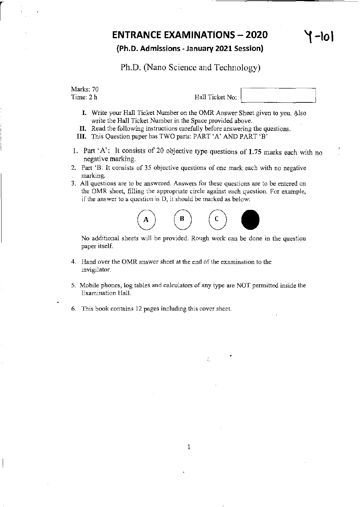### ENTRANCE EXAMINATIONS – 2020  $\left\{ \begin{array}{c} \uparrow \\ \uparrow \end{array} \right\}$

#### (Ph.D. Admissions· January 2021 Session)

Ph.D. (Nano Science and Technology)

Marks: 70  $\begin{array}{c} \text{Wanks.} \\ \text{Time: } 2 \text{ h} \end{array}$  Hall Ticket No:  $\begin{array}{c} \text{Halls.} \\ \text{Halls.} \end{array}$ 

- I. Write your Hall Ticket Number on the OMR Answer Sheet given to you. Also write the Hall Ticket Number in the Space provided above.
- II. Read the following instructions carefully before answering the questions.
- III. This Question paper has TWO parts: PART 'A' AND PART 'B'
- 1. Part' A': It consists of 20 objective type questions of 1.75 marks each with no negative marking.
- 2. Part 'B: It consists of 35 objective questions of one mark each with no negative marking.
- 3. All questions are to be answered. Answers for these questions are to be entered on the OMR sheet, filling the appropriate circle against each question. For example, if the answer to a question is D, it should be marked as below:



No additional sheets will be provided. Rough work can be done in the question paper itself.

- 4. Hand over the OMR answer sheet at the end of the examination to the invigilator.
- 5. Mobile phones, log tables and calculators of any type are NOT pennitted inside the Examination Hall.
- 6. This book contains 12 pages including this cover sheet.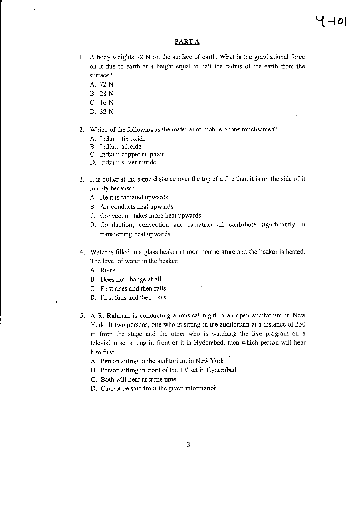#### PART A

- 1. A body weights 72 N on the surface of earth. What is the gravitational force on it due to earth at a height equal to half the radius of the earth from the surface?
	- A.72N
	- B. 28N
	- C. 16 N
	- D.32N
- 2. Which of the following is the material of mobile phone touchscreen?
	- A. Indium tin oxide
	- B. Indium silicide
	- C. Indium copper sulphate
	- D. Indium silver nitride
- 3. It is hotter at the same distance over the top of a fire than it is on the side of it mainly because:
	- A. Heat is radiated upwards
	- B. Air conducts heat upwards
	- C. Convection takes more heat upwards
	- D. Conduction, convection and radiation all contribute significantly in transferring heat upwards
- 4. Water is filled in a glass beaker at room temperature and the beaker is heated. The level of water in the beaker:
	- A. Rises
	- B. Does not change at all
	- C. First rises and then falls
	- D. First falls and then rises
- 5. A R. Rahman is conducting a musical night in an open auditorium in New York. If two persons, one who is sitting in the auditorium at a distance of 250 m from the stage and the other who is watching the live program on a television set sitting in front of it in Hyderabad, then which person will hear him first:
	- A. Person sitting in the auditorium in New York
	- B. Person sitting in front of the TV set in Hyderabad
	- C. Both will hear at same time
	- D. Cannot be said from the given information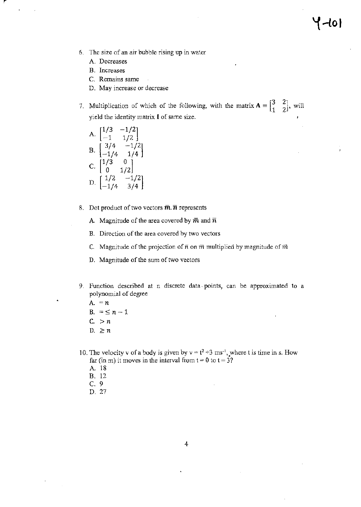- 6. The size of an air bubble rising up in water
	- A. Decreases
	- B. Increases
	- C. Remains same
	- O. May increase or decrease
- 7. Multiplication of which of the following, with the matrix  $A = \begin{bmatrix} 3 & 2 \\ 1 & 2 \end{bmatrix}$ , will yield the identity matrix I of same size.

A. 
$$
\begin{bmatrix} 1/3 & -1/2 \\ -1 & 1/2 \end{bmatrix}
$$
  
B. 
$$
\begin{bmatrix} 3/4 & -1/2 \\ -1/4 & 1/4 \end{bmatrix}
$$
  
C. 
$$
\begin{bmatrix} 1/3 & 0 \\ 0 & 1/2 \end{bmatrix}
$$
  
D. 
$$
\begin{bmatrix} 1/2 & -1/2 \\ -1/4 & 3/4 \end{bmatrix}
$$

- 8. Dot product of two vectors  $\overline{m}$ .  $\overline{n}$  represents
	- A. Magnitude of the area covered by  $\bar{m}$  and  $\bar{n}$
	- B. Direction of the area covered by two vectors
	- C. Magnitude of the projection of  $\bar{n}$  on  $\bar{m}$  multiplied by magnitude of  $\bar{m}$
	- D. Magnitude of the sum of two vectors
- 9. Function described at n discrete data· points, can be approximated to a polynomial of degree
	- A. *=n*
	- $B. = S_n 1$
	- $C. > n$
	- D.  $\geq n$
- 10. The velocity v of a body is given by  $v = t^2 + 3$  ms<sup>-1</sup>, where t is time in s. How far (in m) it moves in the interval from  $t = 0$  to  $t = 3$ ?
	- A. 18
	- B. 12
	- C. 9
	- D. 27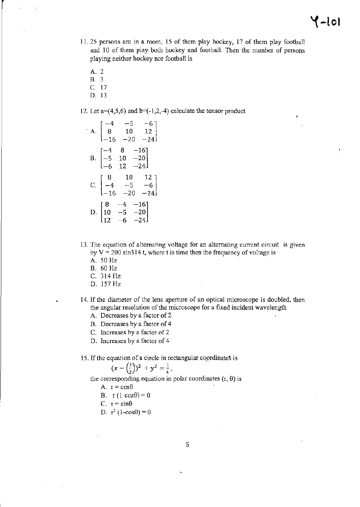- 11. 25 persons are in a foom, 15 of them play hockey, 17 of them play football and 10 of them play both hockey and football. Then the number of persons playing neither hockey nor football is
	- A. 2
	- B. 3
	- C. 17
	- D. 13

12. Let  $a=(4,5,6)$  and  $b=(-1,2,-4)$  calculate the tensor product

A. 
$$
\begin{bmatrix} -4 & -5 & -6 \ 8 & 10 & 12 \ -16 & -20 & -24 \end{bmatrix}
$$
  
B. 
$$
\begin{bmatrix} -4 & 8 & -16 \ -5 & 10 & -20 \ -6 & 12 & -24 \end{bmatrix}
$$
  
C. 
$$
\begin{bmatrix} 8 & 10 & 12 \ -4 & -5 & -6 \ -16 & -20 & -24 \end{bmatrix}
$$
  
D. 
$$
\begin{bmatrix} 8 & -4 & -16 \ 10 & -5 & -20 \ 12 & -6 & -24 \end{bmatrix}
$$

- 13. The equation of alternating voltage for an alternating current circuit is given by  $V = 200 \sin 314$  t, where t is time then the frequency of voltage is
	- A. SO Hz
	- B. 60 Hz
	- C. 314 lIz
	- D. 157 Hz
- 14. If the diameter of the lens aperture of an optical microscope is doubled, then the angular resolution of the microscope for a fixed incident wavelength
	- A. Decreases by a factor of 2
	- B. Decreases by a factor of 4
	- C. Increases by a factor of 2
	- D. Increases by a factor of 4
- 15. If the equation of a circle in rectangular coordinates is

$$
(x - \left(\frac{1}{2}\right))^2 + y^2 = \frac{1}{4},
$$

the corresponding equation in polar coordinates  $(r, \theta)$  is

- A.  $r = cos \theta$
- B.  $r(1-cos\theta)=0$
- C.  $r = \sin\theta$
- D.  $r^2$  (1-cos $\theta$ ) = 0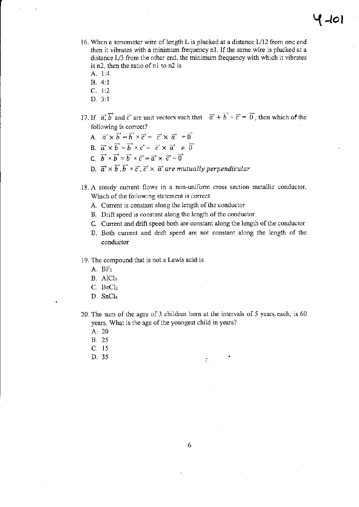- 16. When a sonometer wire of length L is plucked at a distance *U12* from one end then it vibrates with a minimum frequency nl. If the same wire is plucked at a distance *U3* from the other end, the minimum frequency with which it vibrates is  $n2$ , then the ratio of  $n1$  to  $n2$  is
	- A.  $1:4$
	- B. 4:1
	- C. 1:2
	- D. 3:1
- 17. If  $\vec{a}$ ;  $\vec{b}$  and  $\vec{c}$  are unit vectors such that  $\vec{a}$  +  $\vec{b}$  +  $\vec{c}$  =  $\vec{0}$ , then which of the following is correct?
	- A.  $\vec{a} \times \vec{b} = \vec{b} \times \vec{c} = \vec{c} \times \vec{a} = \vec{0}$
	- B.  $\vec{a} \times \vec{b} = \vec{b} \times \vec{c} = \vec{c} \times \vec{a} \neq \vec{0}$
	- C.  $\vec{b} \times \vec{b} = \vec{b} \times \vec{c} = \vec{a} \times \vec{c} = \vec{0}$
	- D.  $\vec{a} \times \vec{b}$ ,  $\vec{b} \times \vec{c}$ ,  $\vec{c} \times \vec{a}$  are mutually perpendicular
- 18. A steady current flows in a non-unifonn cross section metallic conductor. Which of the following statement is correct
	- A. Current is constant along the length of the conductor
	- B. Drift speed is constant along the length of the conductor
	- C. Current and drift speed both are constant along the length of the conductor
	- D. Both current and drift speed are not constant along the length of the conductor
- 19. The compound that is not a Lewis acid is
	- A. BF3
	- B. AlCl<sub>3</sub>
	- $C.$  Be $Cl<sub>2</sub>$
	- D. SnCl4
- 20. The sum of the ages of 3 children born at the intervals of 5 years. each, is 60 years. What is the age of the youngest child in years?

÷.

- $A: 20$
- B. 25
- C. 15
- D. 35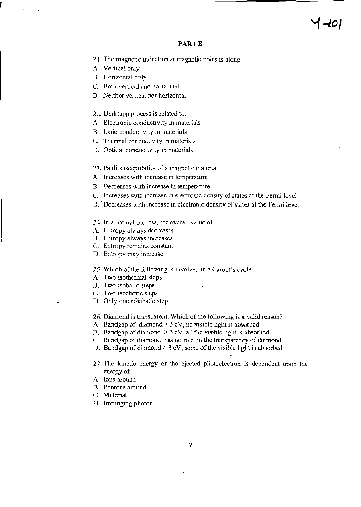#### PART<sub>B</sub>

- 21. The magnetic induction at magnetic poles is along:
- A. Vertical only
- B. Horizontal only
- C. Both vertical and horizontal
- O. Neither vertical nor horizontal
- 22. Umklapp process is related to:
- A. Electronic conductivity in materials
- B. Ionic conductivity in materials
- C. Thermal conductivity in materials
- D. Optical conductivity in materials
- 23. Pauli susceptibility of a magnetic material
- A. Increases with increase in temperature
- B. Decreases with increase in temperature
- C. Increases with increase in electronic density of states at the Fenni level
- D. Decreases with increase in electronic density of states at the Fermi level
- 24. In a natural process, the overall value of
- A. Entropy always decreases
- B. Entropy always increases
- C. Entropy remains constant
- D. Entropy may increase
- 25. Which of the following is involved in a Carnot's cycle
- A. Two isothermal steps
- B. Two isobaric steps
- C. Two isochoric steps
- D. Only one adiabatic step
- 26. Diamond is transparent. Which of the following is a valid reason?
- A. Bandgap of diamond  $> 3$  eV, no visible light is absorbed
- B. Bandgap of diamond  $> 3$  eV, all the visible light is absorbed
- C. Bandgap of diamond has no role on the transparency of diamond
- D. Bandgap of diamond  $> 3$  eV, some of the visible light is absorbed
- 27. The kinetic energy of the ejected photoelectron is dependent upon the energy of
- A. Ions around
- B. Photons around
- C. Material
- D. Impinging photon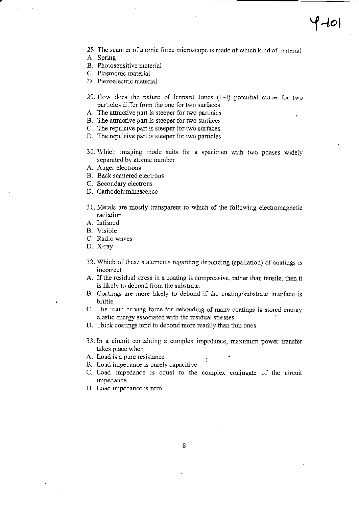- 28. The scanner of atomic force microscope is made of which kind of material
- A. Spring
- B. Photosensitive material
- C. Plasmonic material
- D. Piezoelectric material
- 29. How does the nature of lennard Jones (L-J) potential curve for two particles differ from the one for two surfaces
- A. The attractive part is steeper for two particles
- B. The attractive part is steeper for two surfaces
- C. The repulsive part is steeper for two surfaces
- D. The repulsive part is steeper for two particles
- 30. Which imaging mode suits for a specimen with two phases widely separated by atomic number
- A. Auger electrons
- B. Back scattered electrons
- C. Secondary electrons
- D. Cathodoluminescence
- 31. Metals are mostly transparent to which of the following electromagnetic radiation
- A. Infrared
- B. Visible
- C. Radio waves
- D. X-ray
- 32. Which of these statements regarding debonding (spallation) of coatings is incorrect
- A. If the residual stress in a coating is compressive, rather than tensile, then it is likely to debond from the substrate.
- B. Coatings are more likely to debond if the coating/substrate interface is brittle
- C. The main driving force for debonding of many coatings is stored energy elastic energy associated with the residual stresses
- D. Thick coatings tend to debond more readily than thin ones
- 33. In a circuit containing a complex impedance, maximum power transfer takes place when
- A. Load is a pure resistance
- B. Load impedance is purely capacitive
- C. Load impedance is equal to the complex conjugate of the circuit impedance
- D. Load impedance is zero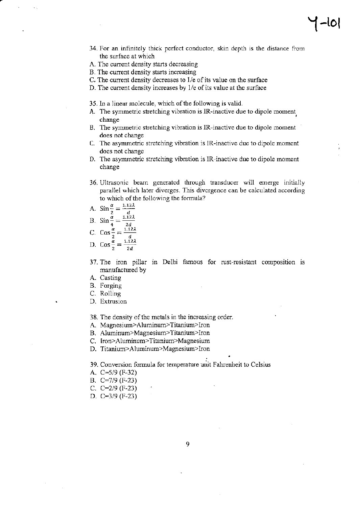# **'i-lOI**

- 34. For an infmitely thick perfect conductor, skin depth is the distance from the surface at which
- A. The current density starts decreasing
- B. The current density starts increasing
- C. The current density decreases to  $1/e$  of its value on the surface
- D. The current density increases by  $1/e$  of its value at the surface
- 35.10 a linear molecule, which of the following is valid.
- A. The symmetric stretching vibration is IR-inactive due to dipole moment change
- B. The symmetric stretching vibration is IR-inactive due to dipole moment does not change
- C. The asymmetric stretching vibration is IR-inactive due to dipole moment does not change
- D. The asymmetric stretching vibration is IR-inactive due to dipole moment change
- 36. Ultrasonic beam generated through transducer will emerge initially parallel which later diverges. This divergence can be calculated according to which of the following the formula?
- A.  $\sin \frac{\alpha}{2} = \frac{1.12\lambda}{2}$
- B.  $\sin \frac{\alpha}{2} = \frac{1.12\lambda}{\lambda}$
- $4$  2d C. Cos  $\frac{\alpha}{\epsilon} = \frac{1.12\lambda}{\epsilon}$
- 
- D.  $\cos \frac{a}{2} = \frac{1.12\lambda}{2d}$
- 37. The iron pillar in Delhi famous for rust-resistant composition IS manufactured by
- A. Casting
- B. Forging
- C. Rolling
- D. Extrusion
- 38. The density of the metals in the increasing order.
- A. Magnesium>Aluminum>Titanium>Iron
- B. Aluminum>Magnesium>Titanium>Iron
- C. Iron>Aluminum>Titanium>Magnesium
- D. Titanium>Aluminum>Magnesium>Iron

39. Conversion formula for temperature unit Fahrenheit to Celsius

- A. C~5/9 (F.32)
- B. C~7/9 (F·23)
- C. C~2/9 (F·23)
- D. C~3/9 (F·23)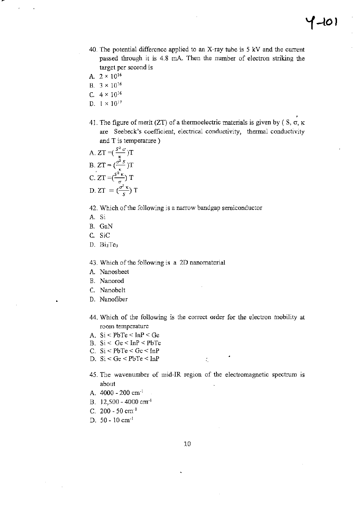- 40. The potential difference applied to an X-ray tube is 5 kV and the current passed through it is 4.8 rnA Then the number of electron striking the target per second is
- A.  $2 \times 10^{16}$
- B.  $3 \times 10^{16}$
- C.  $4 \times 10^{16}$
- D.  $1 \times 10^{17}$
- 41. The figure of merit (ZT) of a thermoelectric materials is given by ( $S$ ,  $\sigma$ ,  $\kappa$ ) are Seebeck's coefficient, electrical conductivity, thermal conductivity and T is temperature)

A. 
$$
ZT = \left(\frac{s^2 \sigma}{\kappa}\right)T
$$
  
\nB.  $ZT = \left(\frac{\sigma^2 s}{\kappa}\right)T$   
\nC.  $ZT = \left(\frac{s^2 \kappa}{\sigma}\right)T$   
\nD.  $ZT = \left(\frac{\sigma^2 \kappa}{s}\right)T$ 

42. Which of the following is a narrow bandgap semiconductor

- A. 8i
- B. GaN
- C. SiC
- D. Bi2Te3

43. Which of the following is a 2D nanomaterial

- A. Nanosheet
- B. Nanorod
- C. Nanobelt
- D. Nanofiber
- 44. Which of the following is the correct order for the electron mobility at room temperature
- A. 8i < PbTe < InP < Ge
- B. Si < Ge < InP < PbTe
- C. 8i < PbTe < Gc < InP
- D. Si < Ge < PbTe < InP
- 45. The wavenumber of mid-IR region of the electromagnetic spectrum is about

 $\ddot{\cdot}$ 

- A.  $4000 200$  cm<sup>-1</sup>
- B. 12,500 4000 em-<sup>l</sup>
- C.  $200 50$  cm<sup>-1</sup>
- D. 50 10 cm-<sup>1</sup>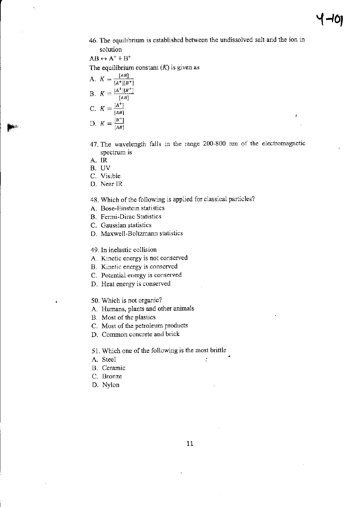46. The equilibrium is established between the undissolved salt and the ion in solution

 $AB \leftrightarrow A^+ + B^+$ 

The equilibrium constant  $(K)$  is given as

- A.  $K = \frac{[AB]}{[A^+] [B^+]}$ B.  $K = \frac{[A^+][B^+]}{[AB]}$ C.  $K = \frac{[A^+]}{[AB]}$ D.  $K = \frac{B^+}{[AB]}$
- 47. The wavelength falls in the range 200-800 nm of the electromagnetic spectrum is
- A. IR
- B. UV
- C. Visible
- D. NearIR
- 48. Which of the following is applied for classical particles?
- A. Bose-Einstein statistics
- B. Fenni-Dirac Statistics
- C. Gaussian statistics
- D. Maxwell-Boltzmann statistics
- 49. In inelastic collision
- A. Kinetic energy is not conserved
- B. Kinetic energy is conserved
- C. Potential energy is conserved
- D. Heat energy is conserved
- 50. Which is not organic?
- A. Humans, plants and other animals
- B. Most of the plastics
- C. Most of the petroleum products
- D. Common concrete and brick
- 51. Which one of the following is the most brittle
- A. Steel
- B. Ceramic
- C. Bronze
- D. Nylon

÷,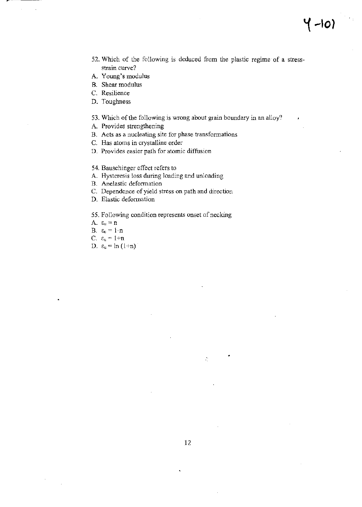52. Which of the following is deduced from the plastic regime of a stressstrain curve?

<sup>~</sup>**-10)** 

- A. Young's modulus
- B. Shear modulus
- C. Resilience
- D. Toughness

53. Which of the following is wrong about grain boundary in an alloy?

- A. Provides strengthening
- B. Acts as a nucleating site for phase transformations
- C. Has atoms in crystalline order
- D. Provides easier path for atomic diffusion
- 54. Bauschinger effect refers to
- A. Hysteresis loss during loading and unloading
- B. Anelastic deformation
- C. Dependence of yield stress on path and direction
- D. Elastic defonnation

#### 55. Following condition represents onset of necking

- A.  $\epsilon_u = n$
- B.  $\varepsilon_u=1-n$
- C.  $\varepsilon_{\rm u} = 1+n$
- D.  $\varepsilon_{\text{u}} = \ln(1+n)$

÷,